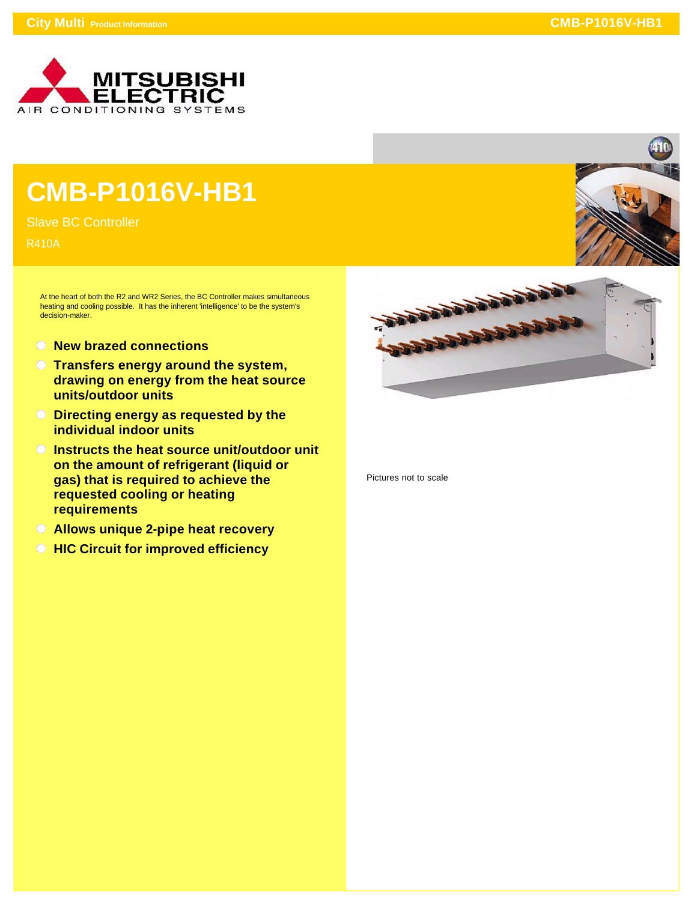

## **CMB-P1016V-HB1**

Slave BC Controller

R410A

At the heart of both the R2 and WR2 Series, the BC Controller makes simultaneous heating and cooling possible. It has the inherent 'intelligence' to be the system's decision-maker.

- **New brazed connections**
- **Transfers energy around the system, drawing on energy from the heat source units/outdoor units**
- **Directing energy as requested by the individual indoor units**
- **Instructs the heat source unit/outdoor unit on the amount of refrigerant (liquid or gas) that is required to achieve the requested cooling or heating requirements**
- **Allows unique 2-pipe heat recovery**
- *<b>HIC Circuit for improved efficiency*





Pictures not to scale